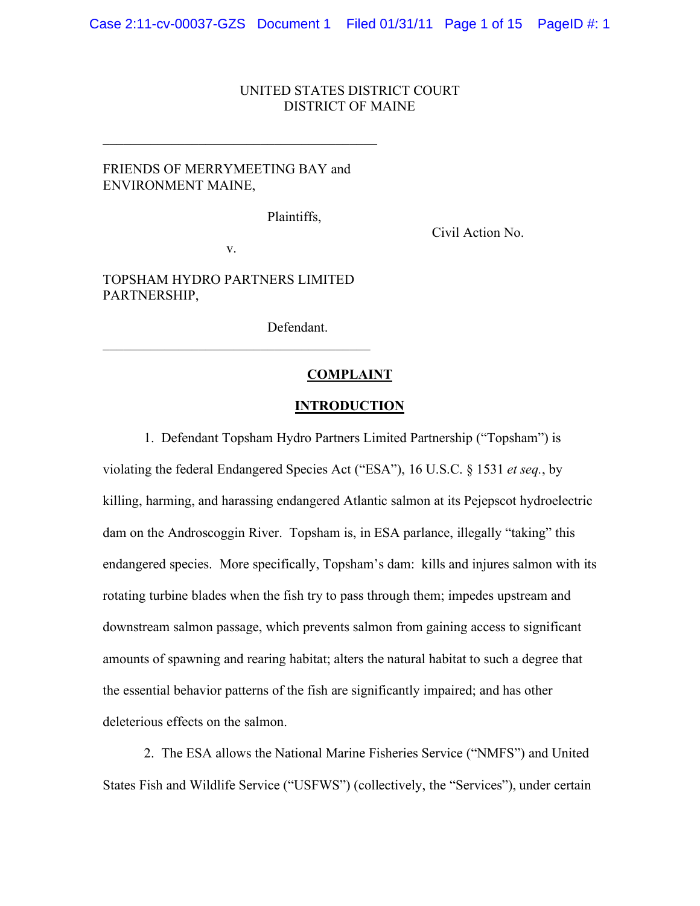## UNITED STATES DISTRICT COURT DISTRICT OF MAINE

# FRIENDS OF MERRYMEETING BAY and ENVIRONMENT MAINE,

 $\mathcal{L}_\text{max}$ 

Plaintiffs,

Civil Action No.

v.

TOPSHAM HYDRO PARTNERS LIMITED PARTNERSHIP,

 $\mathcal{L}_\text{max}$  and  $\mathcal{L}_\text{max}$  and  $\mathcal{L}_\text{max}$  and  $\mathcal{L}_\text{max}$ 

Defendant.

#### **COMPLAINT**

#### **INTRODUCTION**

1. Defendant Topsham Hydro Partners Limited Partnership ("Topsham") is

violating the federal Endangered Species Act ("ESA"), 16 U.S.C. § 1531 *et seq.*, by killing, harming, and harassing endangered Atlantic salmon at its Pejepscot hydroelectric dam on the Androscoggin River. Topsham is, in ESA parlance, illegally "taking" this endangered species. More specifically, Topsham's dam: kills and injures salmon with its rotating turbine blades when the fish try to pass through them; impedes upstream and downstream salmon passage, which prevents salmon from gaining access to significant amounts of spawning and rearing habitat; alters the natural habitat to such a degree that the essential behavior patterns of the fish are significantly impaired; and has other deleterious effects on the salmon.

2. The ESA allows the National Marine Fisheries Service ("NMFS") and United States Fish and Wildlife Service ("USFWS") (collectively, the "Services"), under certain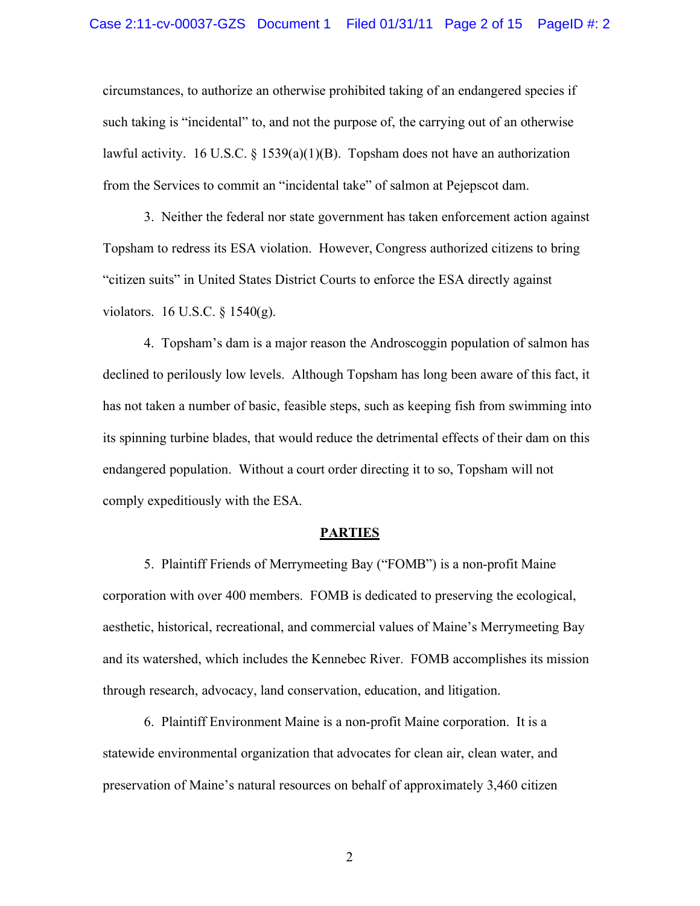circumstances, to authorize an otherwise prohibited taking of an endangered species if such taking is "incidental" to, and not the purpose of, the carrying out of an otherwise lawful activity. 16 U.S.C. § 1539(a)(1)(B). Topsham does not have an authorization from the Services to commit an "incidental take" of salmon at Pejepscot dam.

3. Neither the federal nor state government has taken enforcement action against Topsham to redress its ESA violation. However, Congress authorized citizens to bring "citizen suits" in United States District Courts to enforce the ESA directly against violators. 16 U.S.C. § 1540(g).

4. Topsham's dam is a major reason the Androscoggin population of salmon has declined to perilously low levels. Although Topsham has long been aware of this fact, it has not taken a number of basic, feasible steps, such as keeping fish from swimming into its spinning turbine blades, that would reduce the detrimental effects of their dam on this endangered population. Without a court order directing it to so, Topsham will not comply expeditiously with the ESA.

#### **PARTIES**

5. Plaintiff Friends of Merrymeeting Bay ("FOMB") is a non-profit Maine corporation with over 400 members. FOMB is dedicated to preserving the ecological, aesthetic, historical, recreational, and commercial values of Maine's Merrymeeting Bay and its watershed, which includes the Kennebec River. FOMB accomplishes its mission through research, advocacy, land conservation, education, and litigation.

6. Plaintiff Environment Maine is a non-profit Maine corporation. It is a statewide environmental organization that advocates for clean air, clean water, and preservation of Maine's natural resources on behalf of approximately 3,460 citizen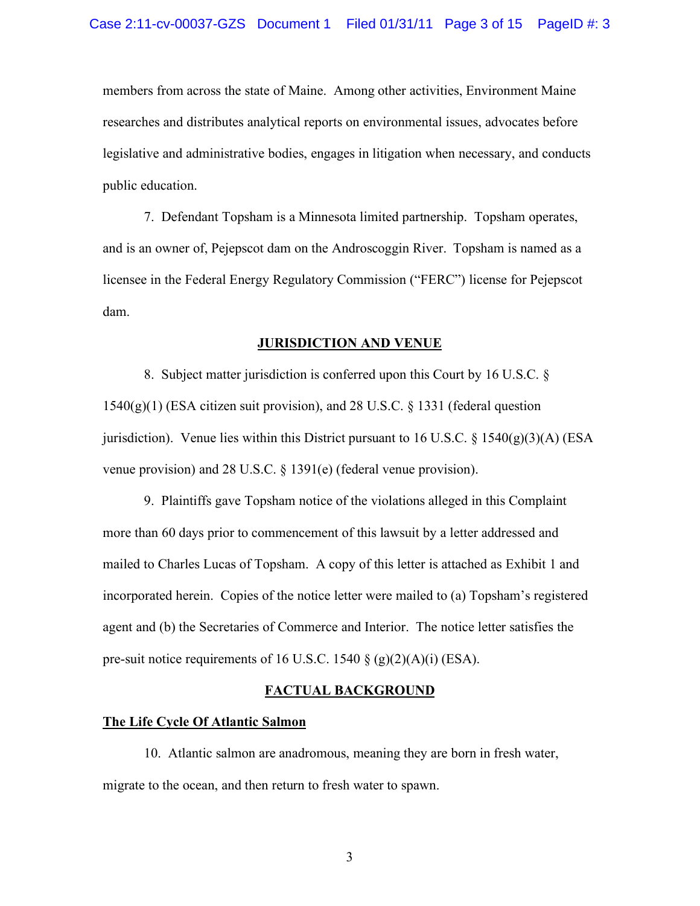members from across the state of Maine. Among other activities, Environment Maine researches and distributes analytical reports on environmental issues, advocates before legislative and administrative bodies, engages in litigation when necessary, and conducts public education.

7. Defendant Topsham is a Minnesota limited partnership. Topsham operates, and is an owner of, Pejepscot dam on the Androscoggin River. Topsham is named as a licensee in the Federal Energy Regulatory Commission ("FERC") license for Pejepscot dam.

#### **JURISDICTION AND VENUE**

8. Subject matter jurisdiction is conferred upon this Court by 16 U.S.C. §  $1540(g)(1)$  (ESA citizen suit provision), and 28 U.S.C. § 1331 (federal question jurisdiction). Venue lies within this District pursuant to 16 U.S.C.  $\S$  1540(g)(3)(A) (ESA venue provision) and 28 U.S.C. § 1391(e) (federal venue provision).

9. Plaintiffs gave Topsham notice of the violations alleged in this Complaint more than 60 days prior to commencement of this lawsuit by a letter addressed and mailed to Charles Lucas of Topsham. A copy of this letter is attached as Exhibit 1 and incorporated herein. Copies of the notice letter were mailed to (a) Topsham's registered agent and (b) the Secretaries of Commerce and Interior. The notice letter satisfies the pre-suit notice requirements of 16 U.S.C. 1540 § (g)(2)(A)(i) (ESA).

## **FACTUAL BACKGROUND**

#### **The Life Cycle Of Atlantic Salmon**

10. Atlantic salmon are anadromous, meaning they are born in fresh water, migrate to the ocean, and then return to fresh water to spawn.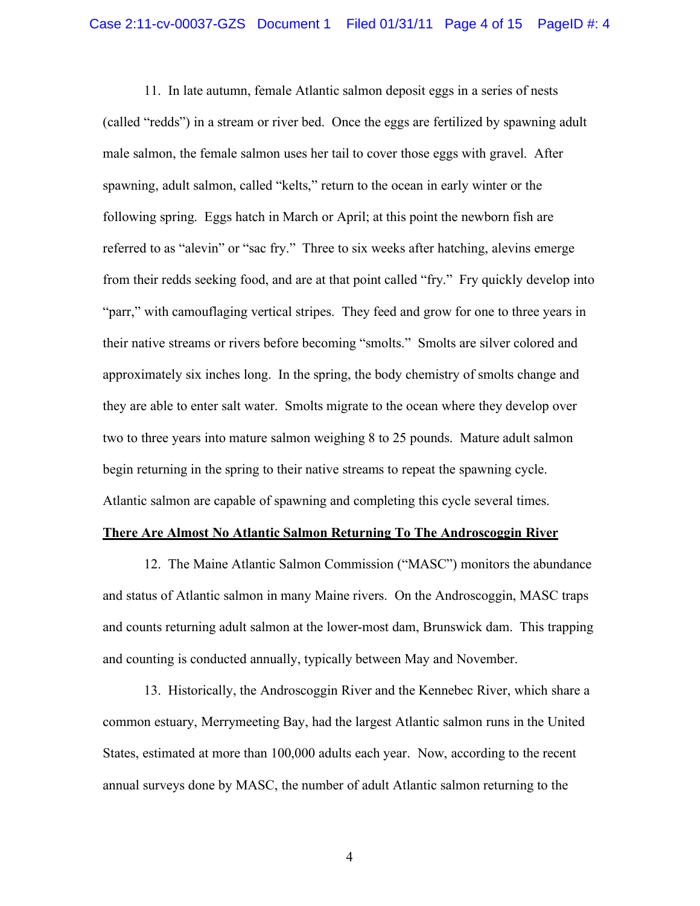11. In late autumn, female Atlantic salmon deposit eggs in a series of nests (called "redds") in a stream or river bed. Once the eggs are fertilized by spawning adult male salmon, the female salmon uses her tail to cover those eggs with gravel. After spawning, adult salmon, called "kelts," return to the ocean in early winter or the following spring. Eggs hatch in March or April; at this point the newborn fish are referred to as "alevin" or "sac fry." Three to six weeks after hatching, alevins emerge from their redds seeking food, and are at that point called "fry." Fry quickly develop into "parr," with camouflaging vertical stripes. They feed and grow for one to three years in their native streams or rivers before becoming "smolts." Smolts are silver colored and approximately six inches long. In the spring, the body chemistry of smolts change and they are able to enter salt water. Smolts migrate to the ocean where they develop over two to three years into mature salmon weighing 8 to 25 pounds. Mature adult salmon begin returning in the spring to their native streams to repeat the spawning cycle. Atlantic salmon are capable of spawning and completing this cycle several times.

#### **There Are Almost No Atlantic Salmon Returning To The Androscoggin River**

12. The Maine Atlantic Salmon Commission ("MASC") monitors the abundance and status of Atlantic salmon in many Maine rivers. On the Androscoggin, MASC traps and counts returning adult salmon at the lower-most dam, Brunswick dam. This trapping and counting is conducted annually, typically between May and November.

13. Historically, the Androscoggin River and the Kennebec River, which share a common estuary, Merrymeeting Bay, had the largest Atlantic salmon runs in the United States, estimated at more than 100,000 adults each year. Now, according to the recent annual surveys done by MASC, the number of adult Atlantic salmon returning to the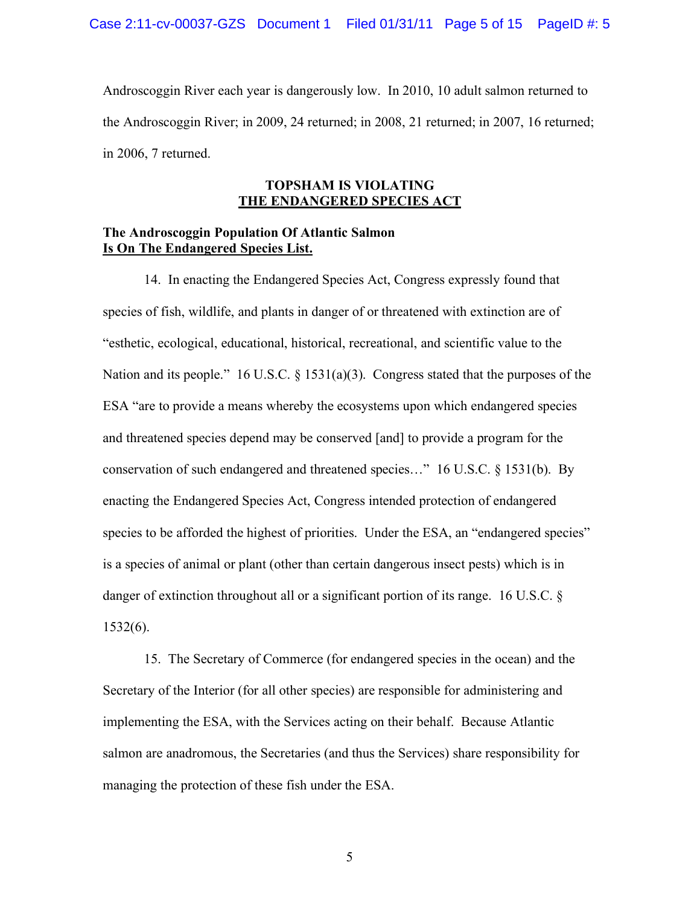Androscoggin River each year is dangerously low. In 2010, 10 adult salmon returned to the Androscoggin River; in 2009, 24 returned; in 2008, 21 returned; in 2007, 16 returned; in 2006, 7 returned.

# **TOPSHAM IS VIOLATING THE ENDANGERED SPECIES ACT**

# **The Androscoggin Population Of Atlantic Salmon Is On The Endangered Species List.**

14. In enacting the Endangered Species Act, Congress expressly found that species of fish, wildlife, and plants in danger of or threatened with extinction are of "esthetic, ecological, educational, historical, recreational, and scientific value to the Nation and its people." 16 U.S.C.  $\S$  1531(a)(3). Congress stated that the purposes of the ESA "are to provide a means whereby the ecosystems upon which endangered species and threatened species depend may be conserved [and] to provide a program for the conservation of such endangered and threatened species…" 16 U.S.C. § 1531(b). By enacting the Endangered Species Act, Congress intended protection of endangered species to be afforded the highest of priorities. Under the ESA, an "endangered species" is a species of animal or plant (other than certain dangerous insect pests) which is in danger of extinction throughout all or a significant portion of its range. 16 U.S.C. § 1532(6).

15. The Secretary of Commerce (for endangered species in the ocean) and the Secretary of the Interior (for all other species) are responsible for administering and implementing the ESA, with the Services acting on their behalf. Because Atlantic salmon are anadromous, the Secretaries (and thus the Services) share responsibility for managing the protection of these fish under the ESA.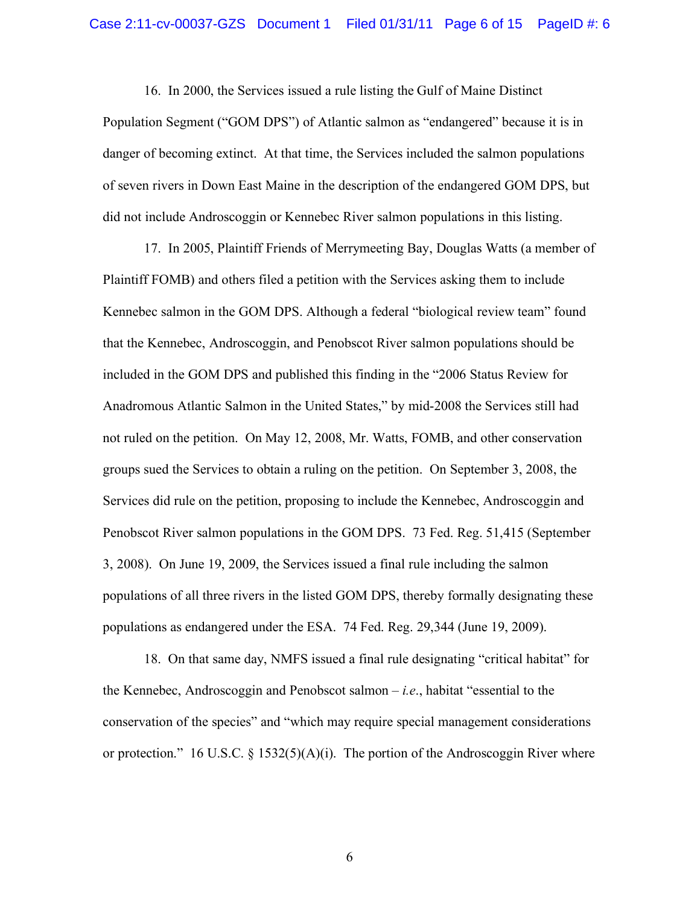16. In 2000, the Services issued a rule listing the Gulf of Maine Distinct Population Segment ("GOM DPS") of Atlantic salmon as "endangered" because it is in danger of becoming extinct. At that time, the Services included the salmon populations of seven rivers in Down East Maine in the description of the endangered GOM DPS, but did not include Androscoggin or Kennebec River salmon populations in this listing.

17. In 2005, Plaintiff Friends of Merrymeeting Bay, Douglas Watts (a member of Plaintiff FOMB) and others filed a petition with the Services asking them to include Kennebec salmon in the GOM DPS. Although a federal "biological review team" found that the Kennebec, Androscoggin, and Penobscot River salmon populations should be included in the GOM DPS and published this finding in the "2006 Status Review for Anadromous Atlantic Salmon in the United States," by mid-2008 the Services still had not ruled on the petition. On May 12, 2008, Mr. Watts, FOMB, and other conservation groups sued the Services to obtain a ruling on the petition. On September 3, 2008, the Services did rule on the petition, proposing to include the Kennebec, Androscoggin and Penobscot River salmon populations in the GOM DPS. 73 Fed. Reg. 51,415 (September 3, 2008). On June 19, 2009, the Services issued a final rule including the salmon populations of all three rivers in the listed GOM DPS, thereby formally designating these populations as endangered under the ESA. 74 Fed. Reg. 29,344 (June 19, 2009).

18. On that same day, NMFS issued a final rule designating "critical habitat" for the Kennebec, Androscoggin and Penobscot salmon – *i.e*., habitat "essential to the conservation of the species" and "which may require special management considerations or protection." 16 U.S.C.  $\S$  1532(5)(A)(i). The portion of the Androscoggin River where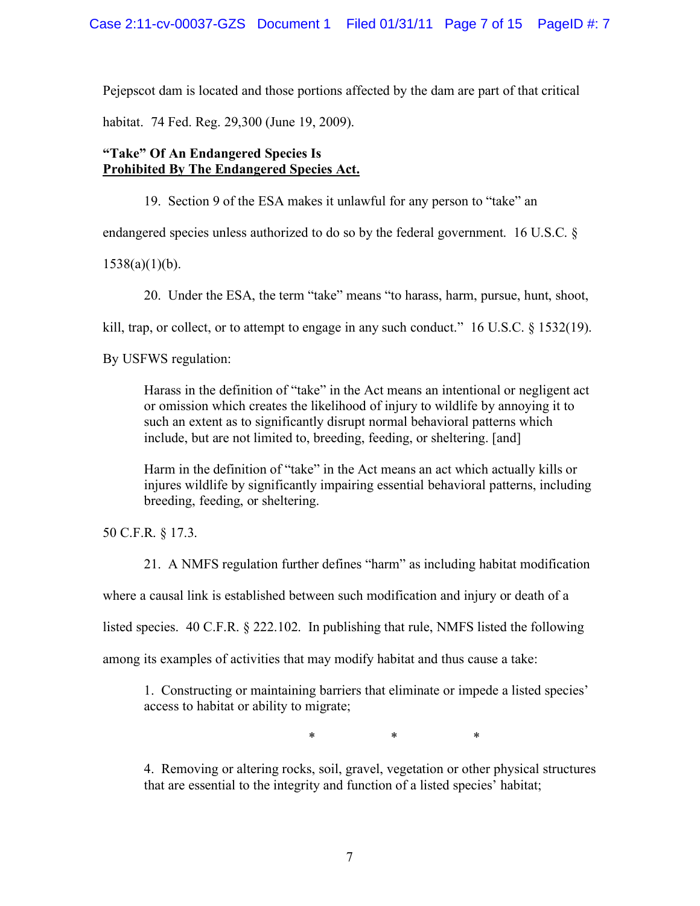Pejepscot dam is located and those portions affected by the dam are part of that critical

habitat. 74 Fed. Reg. 29,300 (June 19, 2009).

# **"Take" Of An Endangered Species Is Prohibited By The Endangered Species Act.**

19. Section 9 of the ESA makes it unlawful for any person to "take" an

endangered species unless authorized to do so by the federal government. 16 U.S.C. §

 $1538(a)(1)(b)$ .

20. Under the ESA, the term "take" means "to harass, harm, pursue, hunt, shoot,

kill, trap, or collect, or to attempt to engage in any such conduct." 16 U.S.C. § 1532(19).

By USFWS regulation:

Harass in the definition of "take" in the Act means an intentional or negligent act or omission which creates the likelihood of injury to wildlife by annoying it to such an extent as to significantly disrupt normal behavioral patterns which include, but are not limited to, breeding, feeding, or sheltering. [and]

Harm in the definition of "take" in the Act means an act which actually kills or injures wildlife by significantly impairing essential behavioral patterns, including breeding, feeding, or sheltering.

50 C.F.R. § 17.3.

21. A NMFS regulation further defines "harm" as including habitat modification

where a causal link is established between such modification and injury or death of a

listed species. 40 C.F.R. § 222.102. In publishing that rule, NMFS listed the following

among its examples of activities that may modify habitat and thus cause a take:

1. Constructing or maintaining barriers that eliminate or impede a listed species' access to habitat or ability to migrate;

\* \* \*

4. Removing or altering rocks, soil, gravel, vegetation or other physical structures that are essential to the integrity and function of a listed species' habitat;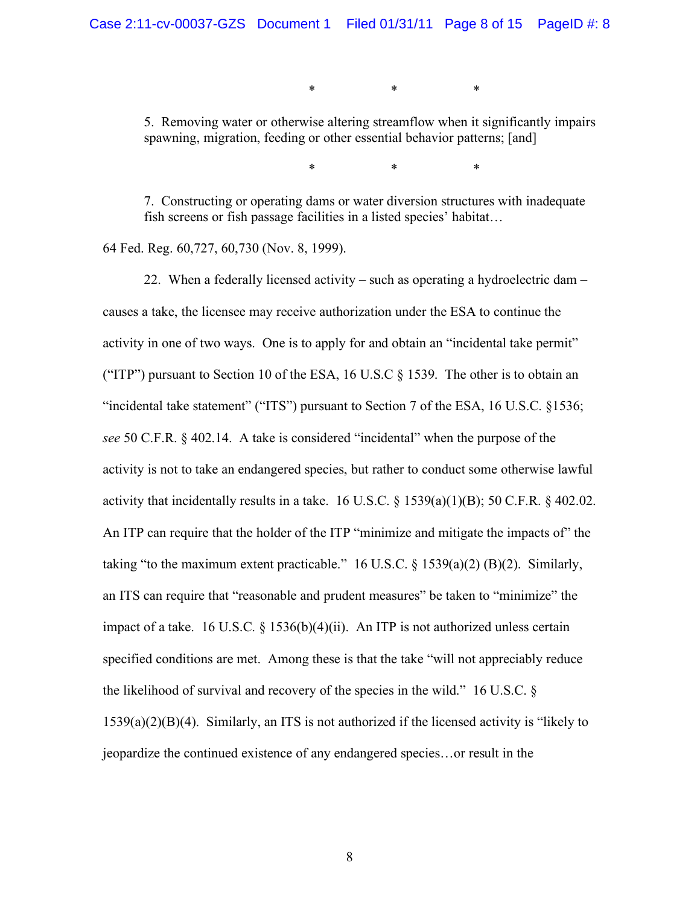\* \* \*

5. Removing water or otherwise altering streamflow when it significantly impairs spawning, migration, feeding or other essential behavior patterns; [and]

\* \* \*

7. Constructing or operating dams or water diversion structures with inadequate fish screens or fish passage facilities in a listed species' habitat…

64 Fed. Reg. 60,727, 60,730 (Nov. 8, 1999).

22. When a federally licensed activity – such as operating a hydroelectric dam – causes a take, the licensee may receive authorization under the ESA to continue the activity in one of two ways. One is to apply for and obtain an "incidental take permit" ("ITP") pursuant to Section 10 of the ESA, 16 U.S.C  $\S$  1539. The other is to obtain an "incidental take statement" ("ITS") pursuant to Section 7 of the ESA, 16 U.S.C. §1536; *see* 50 C.F.R. § 402.14. A take is considered "incidental" when the purpose of the activity is not to take an endangered species, but rather to conduct some otherwise lawful activity that incidentally results in a take. 16 U.S.C.  $\S$  1539(a)(1)(B); 50 C.F.R.  $\S$  402.02. An ITP can require that the holder of the ITP "minimize and mitigate the impacts of" the taking "to the maximum extent practicable." 16 U.S.C.  $\S$  1539(a)(2) (B)(2). Similarly, an ITS can require that "reasonable and prudent measures" be taken to "minimize" the impact of a take. 16 U.S.C. § 1536(b)(4)(ii). An ITP is not authorized unless certain specified conditions are met. Among these is that the take "will not appreciably reduce the likelihood of survival and recovery of the species in the wild." 16 U.S.C. § 1539(a)(2)(B)(4). Similarly, an ITS is not authorized if the licensed activity is "likely to jeopardize the continued existence of any endangered species…or result in the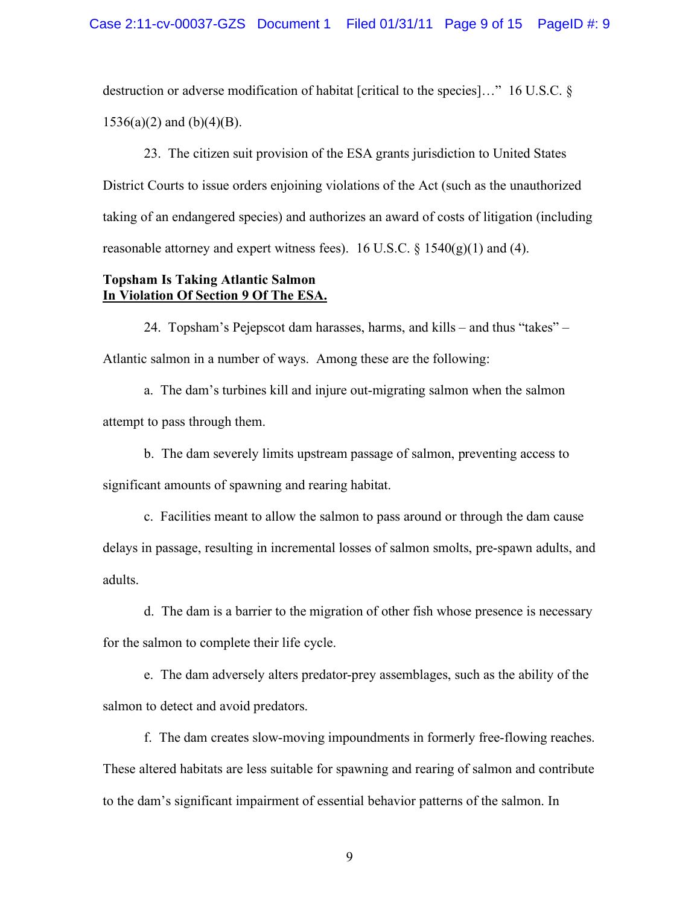destruction or adverse modification of habitat [critical to the species]…" 16 U.S.C. §  $1536(a)(2)$  and  $(b)(4)(B)$ .

23. The citizen suit provision of the ESA grants jurisdiction to United States District Courts to issue orders enjoining violations of the Act (such as the unauthorized taking of an endangered species) and authorizes an award of costs of litigation (including reasonable attorney and expert witness fees). 16 U.S.C.  $\S$  1540(g)(1) and (4).

## **Topsham Is Taking Atlantic Salmon In Violation Of Section 9 Of The ESA.**

24. Topsham's Pejepscot dam harasses, harms, and kills – and thus "takes" – Atlantic salmon in a number of ways. Among these are the following:

a. The dam's turbines kill and injure out-migrating salmon when the salmon attempt to pass through them.

b. The dam severely limits upstream passage of salmon, preventing access to significant amounts of spawning and rearing habitat.

c. Facilities meant to allow the salmon to pass around or through the dam cause delays in passage, resulting in incremental losses of salmon smolts, pre-spawn adults, and adults.

d. The dam is a barrier to the migration of other fish whose presence is necessary for the salmon to complete their life cycle.

e. The dam adversely alters predator-prey assemblages, such as the ability of the salmon to detect and avoid predators.

f. The dam creates slow-moving impoundments in formerly free-flowing reaches. These altered habitats are less suitable for spawning and rearing of salmon and contribute to the dam's significant impairment of essential behavior patterns of the salmon. In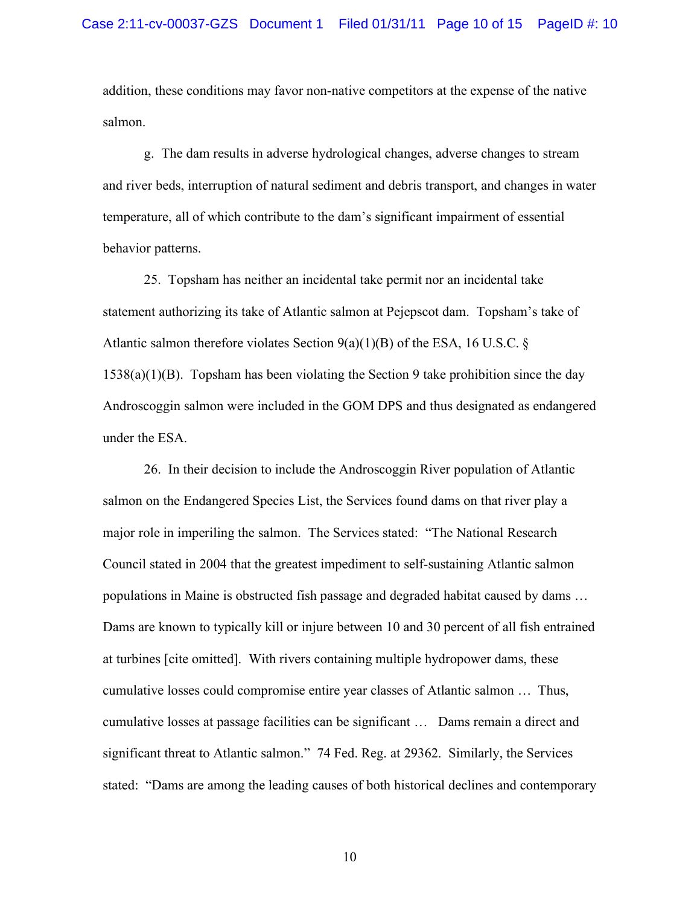addition, these conditions may favor non-native competitors at the expense of the native salmon.

g. The dam results in adverse hydrological changes, adverse changes to stream and river beds, interruption of natural sediment and debris transport, and changes in water temperature, all of which contribute to the dam's significant impairment of essential behavior patterns.

25. Topsham has neither an incidental take permit nor an incidental take statement authorizing its take of Atlantic salmon at Pejepscot dam. Topsham's take of Atlantic salmon therefore violates Section  $9(a)(1)(B)$  of the ESA, 16 U.S.C. § 1538(a)(1)(B). Topsham has been violating the Section 9 take prohibition since the day Androscoggin salmon were included in the GOM DPS and thus designated as endangered under the ESA.

26. In their decision to include the Androscoggin River population of Atlantic salmon on the Endangered Species List, the Services found dams on that river play a major role in imperiling the salmon. The Services stated: "The National Research Council stated in 2004 that the greatest impediment to self-sustaining Atlantic salmon populations in Maine is obstructed fish passage and degraded habitat caused by dams … Dams are known to typically kill or injure between 10 and 30 percent of all fish entrained at turbines [cite omitted]. With rivers containing multiple hydropower dams, these cumulative losses could compromise entire year classes of Atlantic salmon … Thus, cumulative losses at passage facilities can be significant … Dams remain a direct and significant threat to Atlantic salmon." 74 Fed. Reg. at 29362. Similarly, the Services stated: "Dams are among the leading causes of both historical declines and contemporary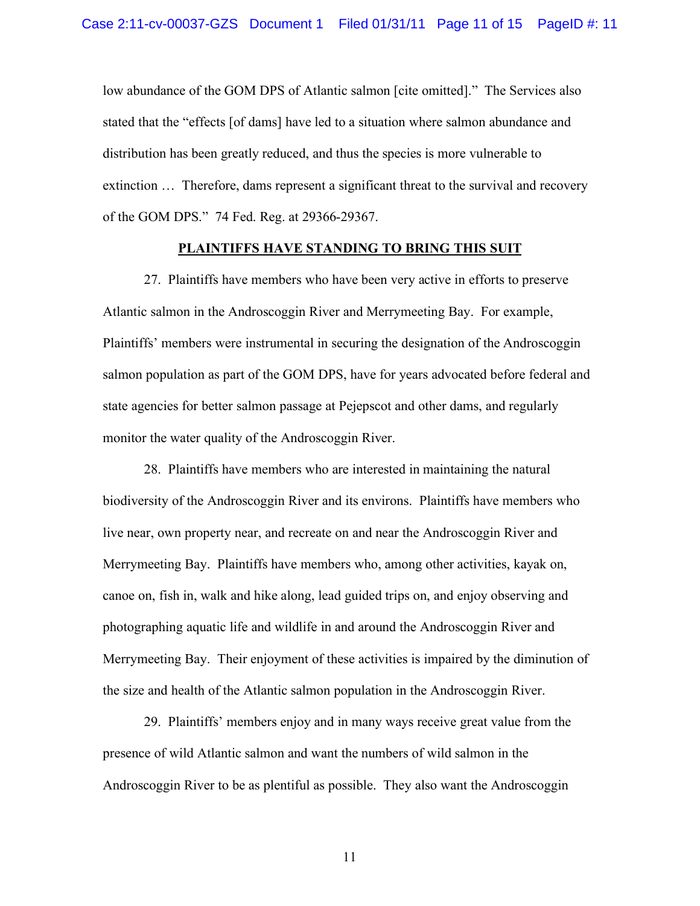low abundance of the GOM DPS of Atlantic salmon [cite omitted]." The Services also stated that the "effects [of dams] have led to a situation where salmon abundance and distribution has been greatly reduced, and thus the species is more vulnerable to extinction … Therefore, dams represent a significant threat to the survival and recovery of the GOM DPS." 74 Fed. Reg. at 29366-29367.

## **PLAINTIFFS HAVE STANDING TO BRING THIS SUIT**

27. Plaintiffs have members who have been very active in efforts to preserve Atlantic salmon in the Androscoggin River and Merrymeeting Bay. For example, Plaintiffs' members were instrumental in securing the designation of the Androscoggin salmon population as part of the GOM DPS, have for years advocated before federal and state agencies for better salmon passage at Pejepscot and other dams, and regularly monitor the water quality of the Androscoggin River.

28. Plaintiffs have members who are interested in maintaining the natural biodiversity of the Androscoggin River and its environs. Plaintiffs have members who live near, own property near, and recreate on and near the Androscoggin River and Merrymeeting Bay. Plaintiffs have members who, among other activities, kayak on, canoe on, fish in, walk and hike along, lead guided trips on, and enjoy observing and photographing aquatic life and wildlife in and around the Androscoggin River and Merrymeeting Bay. Their enjoyment of these activities is impaired by the diminution of the size and health of the Atlantic salmon population in the Androscoggin River.

29. Plaintiffs' members enjoy and in many ways receive great value from the presence of wild Atlantic salmon and want the numbers of wild salmon in the Androscoggin River to be as plentiful as possible. They also want the Androscoggin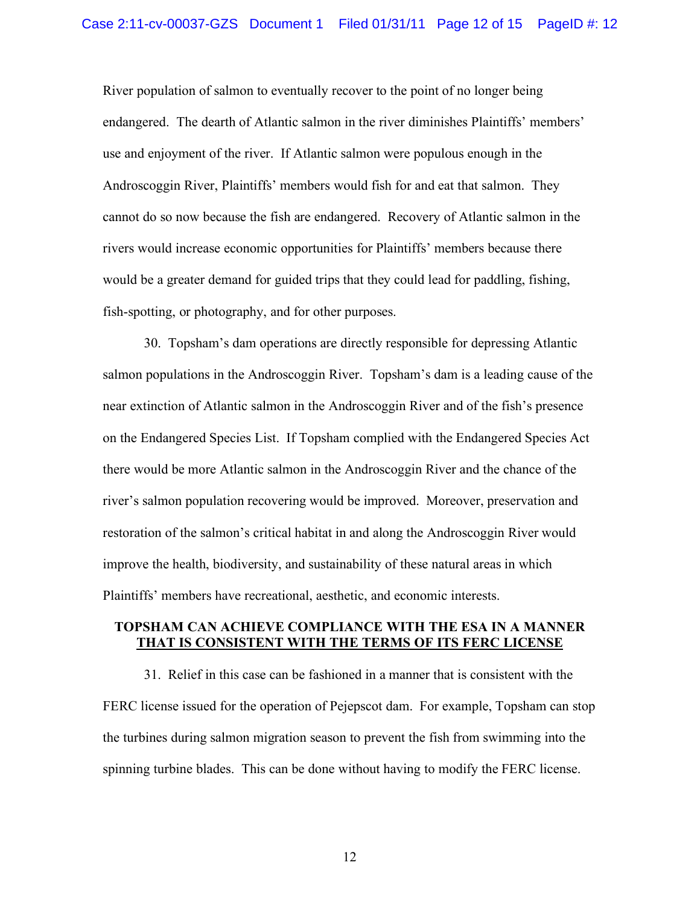River population of salmon to eventually recover to the point of no longer being endangered. The dearth of Atlantic salmon in the river diminishes Plaintiffs' members' use and enjoyment of the river. If Atlantic salmon were populous enough in the Androscoggin River, Plaintiffs' members would fish for and eat that salmon. They cannot do so now because the fish are endangered. Recovery of Atlantic salmon in the rivers would increase economic opportunities for Plaintiffs' members because there would be a greater demand for guided trips that they could lead for paddling, fishing, fish-spotting, or photography, and for other purposes.

30. Topsham's dam operations are directly responsible for depressing Atlantic salmon populations in the Androscoggin River. Topsham's dam is a leading cause of the near extinction of Atlantic salmon in the Androscoggin River and of the fish's presence on the Endangered Species List. If Topsham complied with the Endangered Species Act there would be more Atlantic salmon in the Androscoggin River and the chance of the river's salmon population recovering would be improved. Moreover, preservation and restoration of the salmon's critical habitat in and along the Androscoggin River would improve the health, biodiversity, and sustainability of these natural areas in which Plaintiffs' members have recreational, aesthetic, and economic interests.

# **TOPSHAM CAN ACHIEVE COMPLIANCE WITH THE ESA IN A MANNER THAT IS CONSISTENT WITH THE TERMS OF ITS FERC LICENSE**

31. Relief in this case can be fashioned in a manner that is consistent with the FERC license issued for the operation of Pejepscot dam. For example, Topsham can stop the turbines during salmon migration season to prevent the fish from swimming into the spinning turbine blades. This can be done without having to modify the FERC license.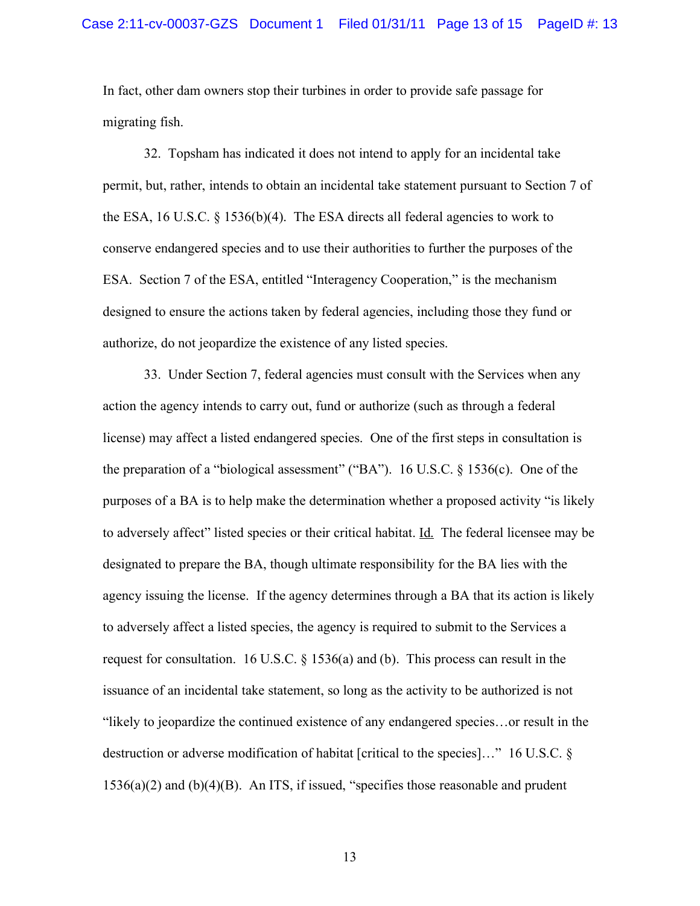In fact, other dam owners stop their turbines in order to provide safe passage for migrating fish.

32. Topsham has indicated it does not intend to apply for an incidental take permit, but, rather, intends to obtain an incidental take statement pursuant to Section 7 of the ESA, 16 U.S.C.  $\S$  1536(b)(4). The ESA directs all federal agencies to work to conserve endangered species and to use their authorities to further the purposes of the ESA. Section 7 of the ESA, entitled "Interagency Cooperation," is the mechanism designed to ensure the actions taken by federal agencies, including those they fund or authorize, do not jeopardize the existence of any listed species.

33. Under Section 7, federal agencies must consult with the Services when any action the agency intends to carry out, fund or authorize (such as through a federal license) may affect a listed endangered species. One of the first steps in consultation is the preparation of a "biological assessment" ("BA"). 16 U.S.C.  $\S$  1536(c). One of the purposes of a BA is to help make the determination whether a proposed activity "is likely to adversely affect" listed species or their critical habitat. Id. The federal licensee may be designated to prepare the BA, though ultimate responsibility for the BA lies with the agency issuing the license. If the agency determines through a BA that its action is likely to adversely affect a listed species, the agency is required to submit to the Services a request for consultation. 16 U.S.C. § 1536(a) and (b). This process can result in the issuance of an incidental take statement, so long as the activity to be authorized is not "likely to jeopardize the continued existence of any endangered species…or result in the destruction or adverse modification of habitat [critical to the species]…" 16 U.S.C. § 1536(a)(2) and (b)(4)(B). An ITS, if issued, "specifies those reasonable and prudent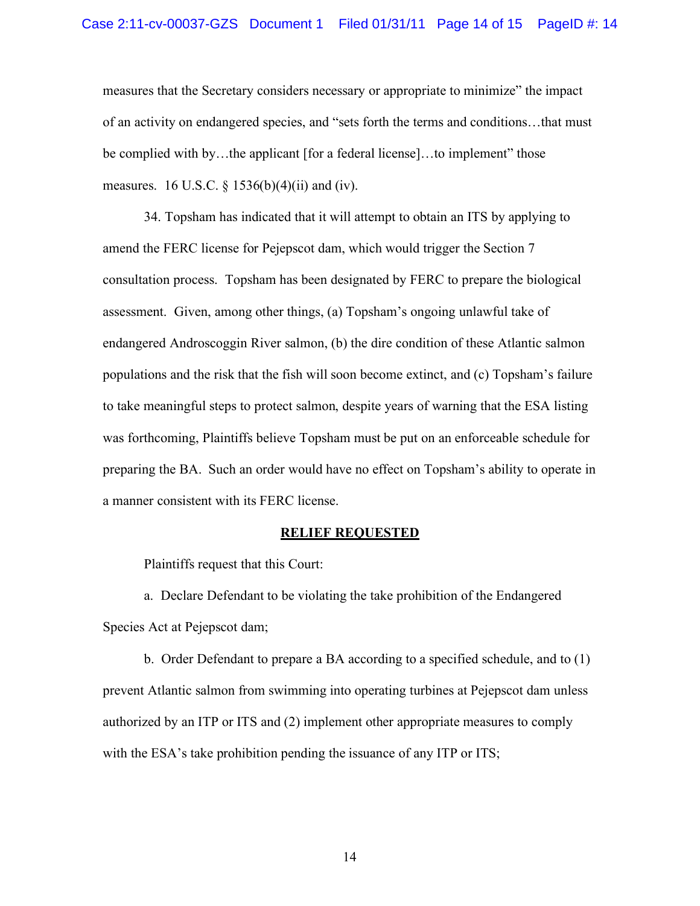measures that the Secretary considers necessary or appropriate to minimize" the impact of an activity on endangered species, and "sets forth the terms and conditions…that must be complied with by…the applicant [for a federal license]…to implement" those measures. 16 U.S.C.  $\S$  1536(b)(4)(ii) and (iv).

34. Topsham has indicated that it will attempt to obtain an ITS by applying to amend the FERC license for Pejepscot dam, which would trigger the Section 7 consultation process. Topsham has been designated by FERC to prepare the biological assessment. Given, among other things, (a) Topsham's ongoing unlawful take of endangered Androscoggin River salmon, (b) the dire condition of these Atlantic salmon populations and the risk that the fish will soon become extinct, and (c) Topsham's failure to take meaningful steps to protect salmon, despite years of warning that the ESA listing was forthcoming, Plaintiffs believe Topsham must be put on an enforceable schedule for preparing the BA. Such an order would have no effect on Topsham's ability to operate in a manner consistent with its FERC license.

#### **RELIEF REQUESTED**

Plaintiffs request that this Court:

a. Declare Defendant to be violating the take prohibition of the Endangered Species Act at Pejepscot dam;

b. Order Defendant to prepare a BA according to a specified schedule, and to (1) prevent Atlantic salmon from swimming into operating turbines at Pejepscot dam unless authorized by an ITP or ITS and (2) implement other appropriate measures to comply with the ESA's take prohibition pending the issuance of any ITP or ITS;